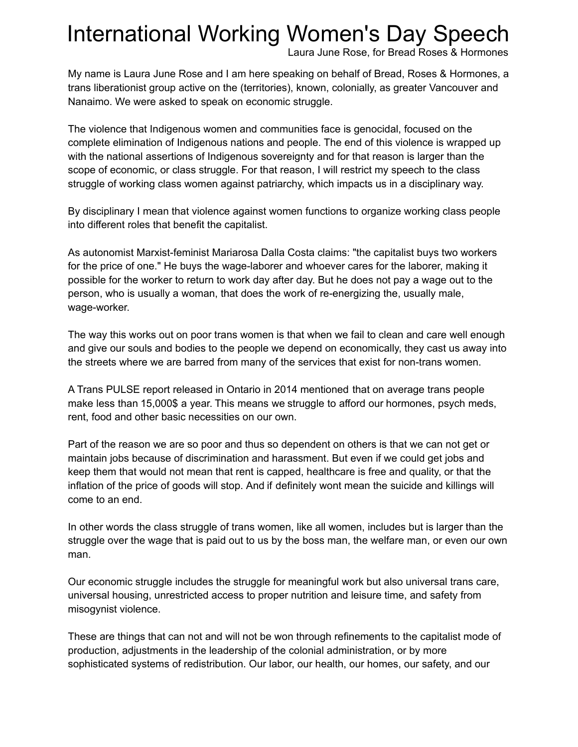## International Working Women's Day Speech

Laura June Rose, for Bread Roses & Hormones

My name is Laura June Rose and I am here speaking on behalf of Bread, Roses & Hormones, a trans liberationist group active on the (territories), known, colonially, as greater Vancouver and Nanaimo. We were asked to speak on economic struggle.

The violence that Indigenous women and communities face is genocidal, focused on the complete elimination of Indigenous nations and people. The end of this violence is wrapped up with the national assertions of Indigenous sovereignty and for that reason is larger than the scope of economic, or class struggle. For that reason, I will restrict my speech to the class struggle of working class women against patriarchy, which impacts us in a disciplinary way.

By disciplinary I mean that violence against women functions to organize working class people into different roles that benefit the capitalist.

As autonomist Marxist-feminist Mariarosa Dalla Costa claims: "the capitalist buys two workers for the price of one." He buys the wage-laborer and whoever cares for the laborer, making it possible for the worker to return to work day after day. But he does not pay a wage out to the person, who is usually a woman, that does the work of re-energizing the, usually male, wage-worker.

The way this works out on poor trans women is that when we fail to clean and care well enough and give our souls and bodies to the people we depend on economically, they cast us away into the streets where we are barred from many of the services that exist for non-trans women.

A Trans PULSE report released in Ontario in 2014 mentioned that on average trans people make less than 15,000\$ a year. This means we struggle to afford our hormones, psych meds, rent, food and other basic necessities on our own.

Part of the reason we are so poor and thus so dependent on others is that we can not get or maintain jobs because of discrimination and harassment. But even if we could get jobs and keep them that would not mean that rent is capped, healthcare is free and quality, or that the inflation of the price of goods will stop. And if definitely wont mean the suicide and killings will come to an end.

In other words the class struggle of trans women, like all women, includes but is larger than the struggle over the wage that is paid out to us by the boss man, the welfare man, or even our own man.

Our economic struggle includes the struggle for meaningful work but also universal trans care, universal housing, unrestricted access to proper nutrition and leisure time, and safety from misogynist violence.

These are things that can not and will not be won through refinements to the capitalist mode of production, adjustments in the leadership of the colonial administration, or by more sophisticated systems of redistribution. Our labor, our health, our homes, our safety, and our